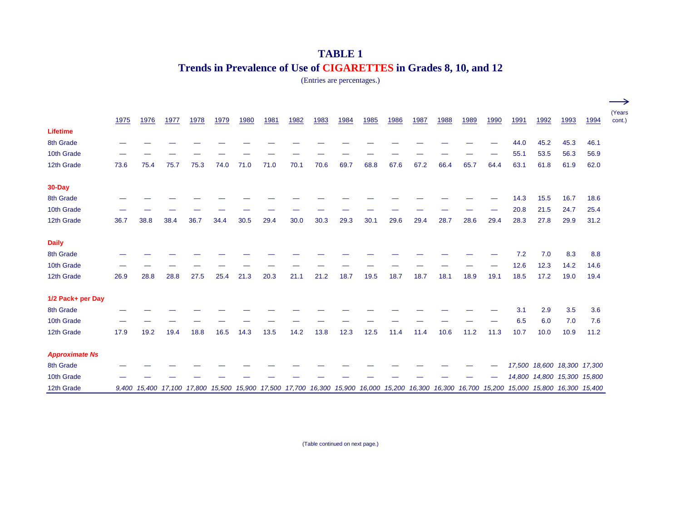## **TABLE 1 Trends in Prevalence of Use of CIGARETTES in Grades 8, 10, and 12**

(Entries are percentages.)

|                       |      |      |      |      |      |      |      |      |                                                                                                                                            |      |      |      |      |      |      |      |      |                             |      |      | $\longrightarrow$ |
|-----------------------|------|------|------|------|------|------|------|------|--------------------------------------------------------------------------------------------------------------------------------------------|------|------|------|------|------|------|------|------|-----------------------------|------|------|-------------------|
|                       | 1975 | 1976 | 1977 | 1978 | 1979 | 1980 | 1981 | 1982 | 1983                                                                                                                                       | 1984 | 1985 | 1986 | 1987 | 1988 | 1989 | 1990 | 1991 | 1992                        | 1993 | 1994 | (Years<br>cont.)  |
| <b>Lifetime</b>       |      |      |      |      |      |      |      |      |                                                                                                                                            |      |      |      |      |      |      |      |      |                             |      |      |                   |
| 8th Grade             |      |      |      |      |      |      |      |      |                                                                                                                                            |      |      |      |      |      |      |      | 44.0 | 45.2                        | 45.3 | 46.1 |                   |
| 10th Grade            |      |      |      |      |      |      |      |      |                                                                                                                                            |      |      |      |      |      |      |      | 55.1 | 53.5                        | 56.3 | 56.9 |                   |
| 12th Grade            | 73.6 | 75.4 | 75.7 | 75.3 | 74.0 | 71.0 | 71.0 | 70.1 | 70.6                                                                                                                                       | 69.7 | 68.8 | 67.6 | 67.2 | 66.4 | 65.7 | 64.4 | 63.1 | 61.8                        | 61.9 | 62.0 |                   |
| 30-Day                |      |      |      |      |      |      |      |      |                                                                                                                                            |      |      |      |      |      |      |      |      |                             |      |      |                   |
| 8th Grade             |      |      |      |      |      |      |      |      |                                                                                                                                            |      |      |      |      |      |      |      | 14.3 | 15.5                        | 16.7 | 18.6 |                   |
| 10th Grade            |      |      |      |      |      |      |      |      |                                                                                                                                            |      |      |      |      |      |      |      | 20.8 | 21.5                        | 24.7 | 25.4 |                   |
| 12th Grade            | 36.7 | 38.8 | 38.4 | 36.7 | 34.4 | 30.5 | 29.4 | 30.0 | 30.3                                                                                                                                       | 29.3 | 30.1 | 29.6 | 29.4 | 28.7 | 28.6 | 29.4 | 28.3 | 27.8                        | 29.9 | 31.2 |                   |
| <b>Daily</b>          |      |      |      |      |      |      |      |      |                                                                                                                                            |      |      |      |      |      |      |      |      |                             |      |      |                   |
| 8th Grade             |      |      |      |      |      |      |      |      |                                                                                                                                            |      |      |      |      |      |      |      | 7.2  | 7.0                         | 8.3  | 8.8  |                   |
| 10th Grade            |      |      |      |      |      |      |      |      |                                                                                                                                            |      |      |      |      |      |      |      | 12.6 | 12.3                        | 14.2 | 14.6 |                   |
| 12th Grade            | 26.9 | 28.8 | 28.8 | 27.5 | 25.4 | 21.3 | 20.3 | 21.1 | 21.2                                                                                                                                       | 18.7 | 19.5 | 18.7 | 18.7 | 18.1 | 18.9 | 19.1 | 18.5 | 17.2                        | 19.0 | 19.4 |                   |
| 1/2 Pack+ per Day     |      |      |      |      |      |      |      |      |                                                                                                                                            |      |      |      |      |      |      |      |      |                             |      |      |                   |
| 8th Grade             |      |      |      |      |      |      |      |      |                                                                                                                                            |      |      |      |      |      |      |      | 3.1  | 2.9                         | 3.5  | 3.6  |                   |
| 10th Grade            |      |      |      |      |      |      |      |      |                                                                                                                                            |      |      |      |      |      |      |      | 6.5  | 6.0                         | 7.0  | 7.6  |                   |
| 12th Grade            | 17.9 | 19.2 | 19.4 | 18.8 | 16.5 | 14.3 | 13.5 | 14.2 | 13.8                                                                                                                                       | 12.3 | 12.5 | 11.4 | 11.4 | 10.6 | 11.2 | 11.3 | 10.7 | 10.0                        | 10.9 | 11.2 |                   |
| <b>Approximate Ns</b> |      |      |      |      |      |      |      |      |                                                                                                                                            |      |      |      |      |      |      |      |      |                             |      |      |                   |
| 8th Grade             |      |      |      |      |      |      |      |      |                                                                                                                                            |      |      |      |      |      |      |      |      | 17,500 18,600 18,300 17,300 |      |      |                   |
| 10th Grade            |      |      |      |      |      |      |      |      |                                                                                                                                            |      |      |      |      |      |      |      |      | 14,800 14,800 15,300 15,800 |      |      |                   |
| 12th Grade            |      |      |      |      |      |      |      |      | 9,400 15,400 17,100 17,800 15,500 15,900 17,500 17,700 16,300 15,900 16,000 15,200 16,300 16,300 16,700 15,200 15,000 15,800 16,300 15,400 |      |      |      |      |      |      |      |      |                             |      |      |                   |

(Table continued on next page.)